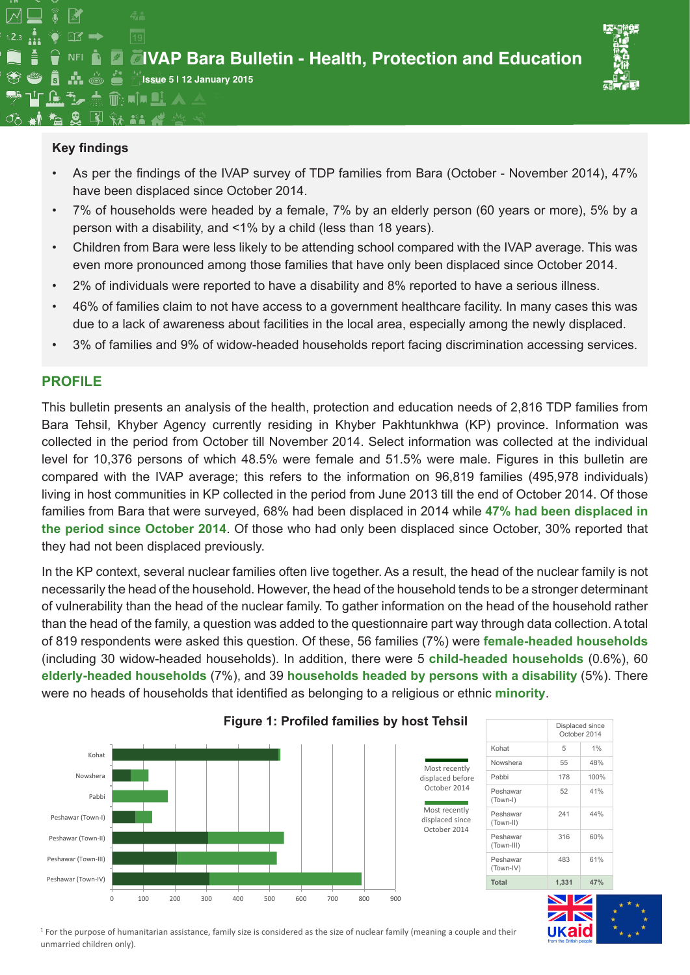

### **Key findings**

企び点命响■  $\mathbf{g}$   $\mathbf{v}$   $\mathbf{v}$   $\mathbf{z}$ 

 $\overline{19}$ 

 $\frac{1}{11}$   $\frac{1}{2}$  of  $\Rightarrow$ 

NFI $\blacksquare$ 

- As per the findings of the IVAP survey of TDP families from Bara (October November 2014), 47% have been displaced since October 2014.
- 7% of households were headed by a female, 7% by an elderly person (60 years or more), 5% by a person with a disability, and <1% by a child (less than 18 years).
- Children from Bara were less likely to be attending school compared with the IVAP average. This was even more pronounced among those families that have only been displaced since October 2014.
- 2% of individuals were reported to have a disability and 8% reported to have a serious illness.
- 46% of families claim to not have access to a government healthcare facility. In many cases this was due to a lack of awareness about facilities in the local area, especially among the newly displaced.
- 3% of families and 9% of widow-headed households report facing discrimination accessing services.

### **Profile**

This bulletin presents an analysis of the health, protection and education needs of 2,816 TDP families from Bara Tehsil, Khyber Agency currently residing in Khyber Pakhtunkhwa (KP) province. Information was collected in the period from October till November 2014. Select information was collected at the individual level for 10,376 persons of which 48.5% were female and 51.5% were male. Figures in this bulletin are compared with the IVAP average; this refers to the information on 96,819 families (495,978 individuals) living in host communities in KP collected in the period from June 2013 till the end of October 2014. Of those families from Bara that were surveyed, 68% had been displaced in 2014 while **47% had been displaced in the period since October 2014**. Of those who had only been displaced since October, 30% reported that they had not been displaced previously.

In the KP context, several nuclear families often live together. As a result, the head of the nuclear family is not necessarily the head of the household. However, the head of the household tends to be a stronger determinant of vulnerability than the head of the nuclear family. To gather information on the head of the household rather than the head of the family, a question was added to the questionnaire part way through data collection. A total of 819 respondents were asked this question. Of these, 56 families (7%) were **female-headed households** (including 30 widow-headed households). In addition, there were 5 **child-headed households** (0.6%), 60 **elderly-headed households** (7%), and 39 **households headed by persons with a disability** (5%). There were no heads of households that identified as belonging to a religious or ethnic **minority**.







<sup>1</sup> For the purpose of humanitarian assistance, family size is considered as the size of nuclear family (meaning a couple and their unmarried children only).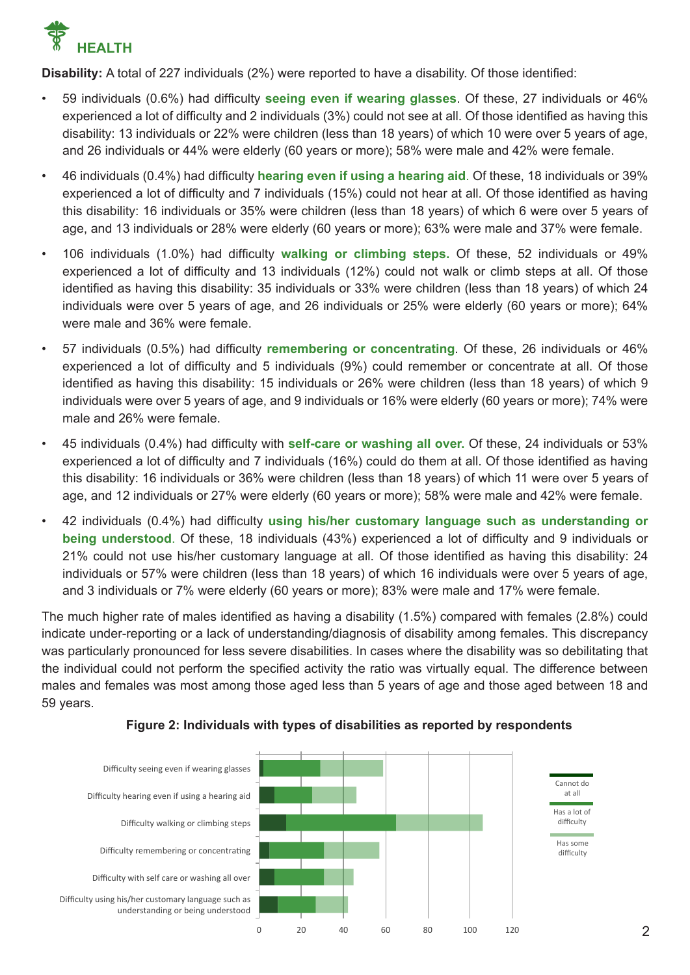

**Disability:** A total of 227 individuals (2%) were reported to have a disability. Of those identified:

- 59 individuals (0.6%) had difficulty **seeing even if wearing glasses**. Of these, 27 individuals or 46% experienced a lot of difficulty and 2 individuals (3%) could not see at all. Of those identified as having this disability: 13 individuals or 22% were children (less than 18 years) of which 10 were over 5 years of age, and 26 individuals or 44% were elderly (60 years or more); 58% were male and 42% were female.
- 46 individuals (0.4%) had difficulty **hearing even if using a hearing aid**. Of these, 18 individuals or 39% experienced a lot of difficulty and 7 individuals (15%) could not hear at all. Of those identified as having this disability: 16 individuals or 35% were children (less than 18 years) of which 6 were over 5 years of age, and 13 individuals or 28% were elderly (60 years or more); 63% were male and 37% were female.
- 106 individuals (1.0%) had difficulty **walking or climbing steps.** Of these, 52 individuals or 49% experienced a lot of difficulty and 13 individuals (12%) could not walk or climb steps at all. Of those identified as having this disability: 35 individuals or 33% were children (less than 18 years) of which 24 individuals were over 5 years of age, and 26 individuals or 25% were elderly (60 years or more); 64% were male and 36% were female.
- 57 individuals (0.5%) had difficulty **remembering or concentrating**. Of these, 26 individuals or 46% experienced a lot of difficulty and 5 individuals (9%) could remember or concentrate at all. Of those identified as having this disability: 15 individuals or 26% were children (less than 18 years) of which 9 individuals were over 5 years of age, and 9 individuals or 16% were elderly (60 years or more); 74% were male and 26% were female.
- 45 individuals (0.4%) had difficulty with **self-care or washing all over.** Of these, 24 individuals or 53% experienced a lot of difficulty and 7 individuals (16%) could do them at all. Of those identified as having this disability: 16 individuals or 36% were children (less than 18 years) of which 11 were over 5 years of age, and 12 individuals or 27% were elderly (60 years or more); 58% were male and 42% were female.
- 42 individuals (0.4%) had difficulty **using his/her customary language such as understanding or being understood**. Of these, 18 individuals (43%) experienced a lot of difficulty and 9 individuals or 21% could not use his/her customary language at all. Of those identified as having this disability: 24 individuals or 57% were children (less than 18 years) of which 16 individuals were over 5 years of age, and 3 individuals or 7% were elderly (60 years or more); 83% were male and 17% were female.

The much higher rate of males identified as having a disability (1.5%) compared with females (2.8%) could indicate under-reporting or a lack of understanding/diagnosis of disability among females. This discrepancy was particularly pronounced for less severe disabilities. In cases where the disability was so debilitating that the individual could not perform the specified activity the ratio was virtually equal. The difference between males and females was most among those aged less than 5 years of age and those aged between 18 and 59 years.



#### **Figure 2: Individuals with types of disabilities as reported by respondents**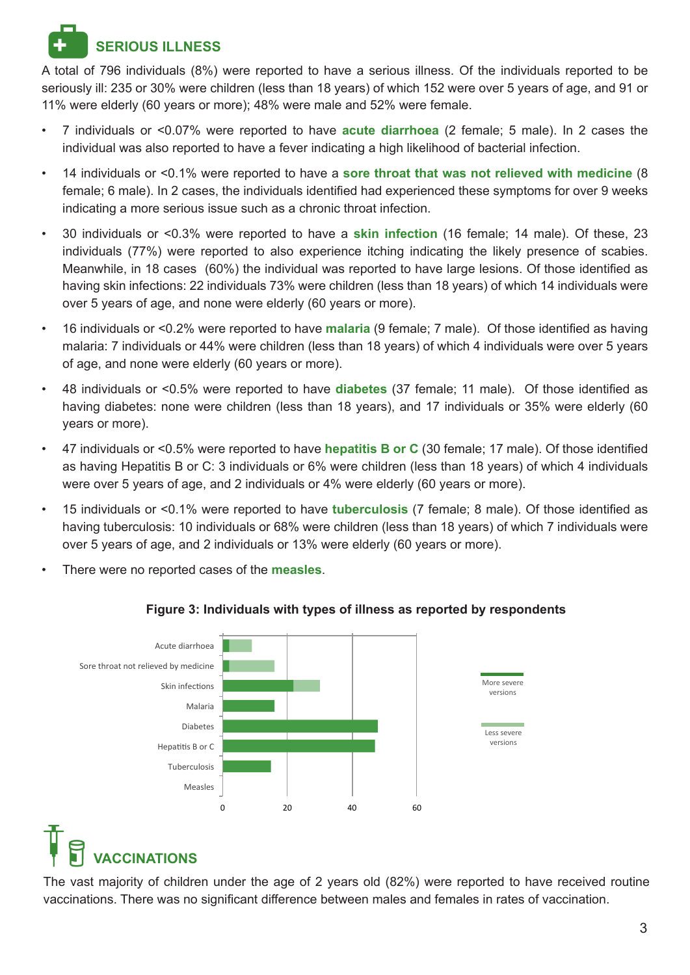## **Serious Illness**

A total of 796 individuals (8%) were reported to have a serious illness. Of the individuals reported to be seriously ill: 235 or 30% were children (less than 18 years) of which 152 were over 5 years of age, and 91 or 11% were elderly (60 years or more); 48% were male and 52% were female.

- 7 individuals or <0.07% were reported to have **acute diarrhoea** (2 female; 5 male). In 2 cases the individual was also reported to have a fever indicating a high likelihood of bacterial infection.
- 14 individuals or <0.1% were reported to have a **sore throat that was not relieved with medicine** (8 female; 6 male). In 2 cases, the individuals identified had experienced these symptoms for over 9 weeks indicating a more serious issue such as a chronic throat infection.
- 30 individuals or <0.3% were reported to have a **skin infection** (16 female; 14 male). Of these, 23 individuals (77%) were reported to also experience itching indicating the likely presence of scabies. Meanwhile, in 18 cases (60%) the individual was reported to have large lesions. Of those identified as having skin infections: 22 individuals 73% were children (less than 18 years) of which 14 individuals were over 5 years of age, and none were elderly (60 years or more).
- 16 individuals or <0.2% were reported to have **malaria** (9 female; 7 male). Of those identified as having malaria: 7 individuals or 44% were children (less than 18 years) of which 4 individuals were over 5 years of age, and none were elderly (60 years or more).
- 48 individuals or <0.5% were reported to have **diabetes** (37 female; 11 male). Of those identified as having diabetes: none were children (less than 18 years), and 17 individuals or 35% were elderly (60 years or more).
- 47 individuals or <0.5% were reported to have **hepatitis B or C** (30 female; 17 male). Of those identified as having Hepatitis B or C: 3 individuals or 6% were children (less than 18 years) of which 4 individuals were over 5 years of age, and 2 individuals or 4% were elderly (60 years or more).
- 15 individuals or <0.1% were reported to have **tuberculosis** (7 female; 8 male). Of those identified as having tuberculosis: 10 individuals or 68% were children (less than 18 years) of which 7 individuals were over 5 years of age, and 2 individuals or 13% were elderly (60 years or more).
- There were no reported cases of the **measles**.



### **Figure 3: Individuals with types of illness as reported by respondents**

# **ACCINATIONS**

The vast majority of children under the age of 2 years old (82%) were reported to have received routine vaccinations. There was no significant difference between males and females in rates of vaccination.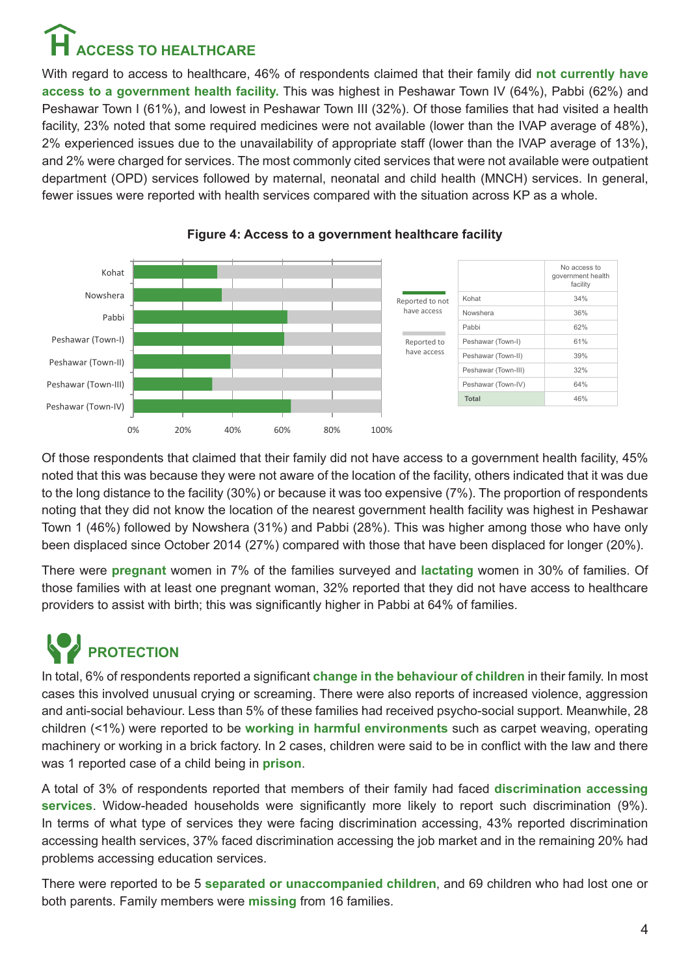# **access to healthcare**

With regard to access to healthcare, 46% of respondents claimed that their family did **not currently have access to a government health facility.** This was highest in Peshawar Town IV (64%), Pabbi (62%) and Peshawar Town I (61%), and lowest in Peshawar Town III (32%). Of those families that had visited a health facility, 23% noted that some required medicines were not available (lower than the IVAP average of 48%), 2% experienced issues due to the unavailability of appropriate staff (lower than the IVAP average of 13%), and 2% were charged for services. The most commonly cited services that were not available were outpatient department (OPD) services followed by maternal, neonatal and child health (MNCH) services. In general, fewer issues were reported with health services compared with the situation across KP as a whole.



**Figure 4: Access to a government healthcare facility**

Of those respondents that claimed that their family did not have access to a government health facility, 45% noted that this was because they were not aware of the location of the facility, others indicated that it was due to the long distance to the facility (30%) or because it was too expensive (7%). The proportion of respondents noting that they did not know the location of the nearest government health facility was highest in Peshawar Town 1 (46%) followed by Nowshera (31%) and Pabbi (28%). This was higher among those who have only been displaced since October 2014 (27%) compared with those that have been displaced for longer (20%).

There were **pregnant** women in 7% of the families surveyed and **lactating** women in 30% of families. Of those families with at least one pregnant woman, 32% reported that they did not have access to healthcare providers to assist with birth; this was significantly higher in Pabbi at 64% of families.

## **Protection**

In total, 6% of respondents reported a significant **change in the behaviour of children** in their family. In most cases this involved unusual crying or screaming. There were also reports of increased violence, aggression and anti-social behaviour. Less than 5% of these families had received psycho-social support. Meanwhile, 28 children (<1%) were reported to be **working in harmful environments** such as carpet weaving, operating machinery or working in a brick factory. In 2 cases, children were said to be in conflict with the law and there was 1 reported case of a child being in **prison**.

A total of 3% of respondents reported that members of their family had faced **discrimination accessing services**. Widow-headed households were significantly more likely to report such discrimination (9%). In terms of what type of services they were facing discrimination accessing, 43% reported discrimination accessing health services, 37% faced discrimination accessing the job market and in the remaining 20% had problems accessing education services.

There were reported to be 5 **separated or unaccompanied children**, and 69 children who had lost one or both parents. Family members were **missing** from 16 families.